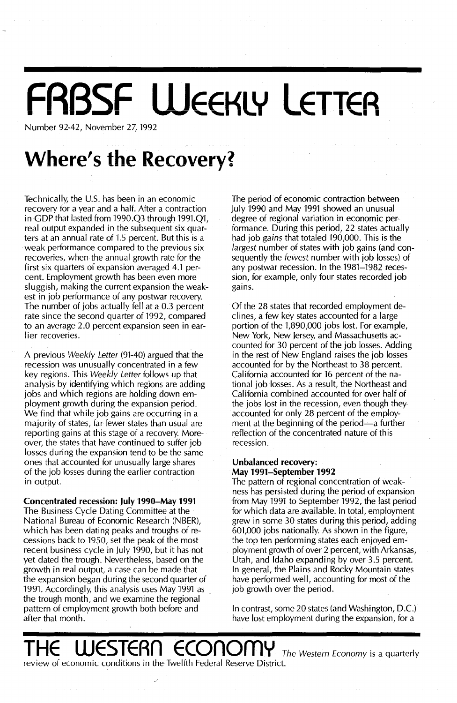# **FABSF WEEKLY LETTER**

Number 92-42, November 27, 1992

### **Where's the Recovery?**

Technically, the U.S. has been in an economic recovery for a year and a half. After a contraction in GOP that lasted from 1990.Q3 through 1991.Ql, real output expanded in the subsequent six quarters at an annual rate of 1.5 percent. But this is a weak performance compared to the previous six recoveries, when the annual growth rate for the first six quarters of expansion averaged 4.1 percent. Employment growth has been even more sluggish, making the current expansion the weakest in job performance of any postwar recovery. The number of jobs actually fell at a 0.3 percent rate since the second quarter of 1992, compared to an average 2.0 percent expansion seen in earlier recoveries.

A previous Weekly Letter (91-40) argued that the recession was unusually concentrated in a few key regions. This Weekly Letter follows up that analysis by identifying which regions are adding jobs and which regions are holding down employment growth during the expansion period. We find that while job gains are occurring in a majority of states, far fewer states than usual are reporting gains at this stage of a recovery. Moreover, the states that have continued to suffer job losses during the expansion tend to be the same ones that accounted for unusually large shares of the job losses during the earlier contraction in output.

Concentrated recession: **July** 1990-May 1991 The Business Cycle Dating Committee at the National Bureau of Economic Research (NBER), which has been dating peaks and troughs of recessions back to 1950, set the peak of the most recent business cycle in July 1990, but it has not yet dated the trough. Nevertheless, based on the growth in real output, a case can be made that the expansion began during the second quarter of 1991. Accordingly, this analysis uses May 1991 as the trough month, and we examine the regional pattern of employment growth both before and after that month.

The period of economic contraction between July 1990 and May 1991 showed an unusual degree of regional variation in economic performance. During this period, 22 states actually had job gains that totaled 190,000. This is the largest number of states with job gains (and consequently the fewest number with job losses) of any postwar recession. In the 1981-1982 recession, for example, only four states recorded job gains.

Of the 28 states that recorded employment declines, a few key states accounted for a large portion of the 1,890,000 jobs lost. For example, New York, New Jersey, and Massachusetts accounted for 30 percent of the job losses. Adding in the rest of New England raises the job losses accounted for by the Northeast to 38 percent. California accounted for 16 percent of the national job losses. As a result, the Northeast and California combined accounted for over half of the jobs lost in the recession, even though they accounted for only 28 percent of the employment at the beginning of the period—a further reflection of the concentrated nature of this recession.

### Unbalanced recovery: May 1991-September 1992

The pattern of regional concentration of weakness has persisted during the period of expansion from May 1991 to September 1992, the last period for which data are available. In total, employment grew in some 30 states during this period, adding 601,000 jobs nationally. As shown in the figure, the top ten performing states each enjoyed employment growth of over 2 percent, with Arkansas, Utah, and Idaho expanding by over 3.5 percent. In general, the Plains and Rocky Mountain states have performed well, accounting for most of the job growth over the period.

In contrast, some 20 states (and Washington, D.C.) have lost employment during the expansion, for a

**THE STERN ECONOMY** The Western Economy is a quarterly review of economic conditions in the Twelfth Federal Reserve District.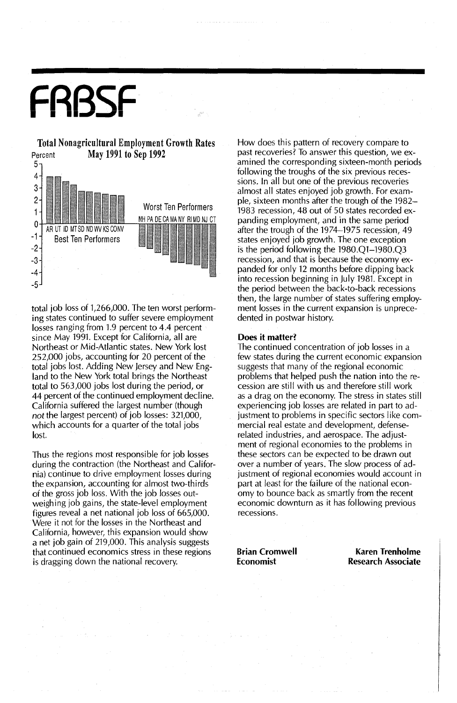## FRBSF



total job loss of 1,266,000. The ten worst performing states continued to suffer severe employment losses ranging from 1.9 percent to 4.4 percent since May 1991. Except for California, all are Northeast or Mid-Atlantic states. New York lost 252,000 jobs, accounting for 20 percent of the total jobs lost. Adding New Jersey and New England to the New York total brings the Northeast total to 563,000 jobs lost during the period, or 44 percent of the continued employment decline. California suffered the largest number (though *not* the largest percent) of job losses: 321,000, which accounts for a quarter of the total jobs lost.

Thus the regions most responsible for job losses during the contraction (the Northeast and California) continue to drive employment losses during the expansion, accounting for almost two-thirds of the gross job loss. With the job losses outweighing job gains, the state-level employment figures reveal a net national job loss of 665,000. Were it not for the losses in the Northeast and California, however, this expansion would show a net job gain of 219,000. This analysis suggests that continued economics stress in these regions is dragging down the national recovery.

How does this pattern of recovery compare to past recoveries? To answer this question, we examined the corresponding sixteen-month periods following the troughs of the six previous recessions. In all but one of the previous recoveries almost all states enjoyed job growth. For example, sixteen months after the trough of the 1982~ 1983 recession, 48 out of 50 states recorded expanding employment, and in the same period after the trough of the 1974-1975 recession, 49 states enjoyed job growth. The one exception is the period following the 1980.Ql-1980.Q3 recession, and that is because the economy expanded for only 12 months before dipping back into recession beginning in July 1981. Except in the period between the back-to-back recessions then, the large number of states suffering employment losses in the current expansion is unprecedented in postwar history.

#### Does it matter?

The continued concentration of job losses in a few states during the current economic expansion suggests that many of the regional economic problems that helped push the nation into the recession are still with us and therefore still work as a drag on the economy. The stress in states still experiencing job losses are related in part to adjustment to problems in specific sectors like commercial real estate and development, defenserelated industries, and aerospace. The adjustment of regional economies to the problems in these sectors can be expected to be drawn out over a number of years. The slow process of adjustment of regional economies would account in part at least for the failure of the national economy to bounce back as smartly from the recent economic downturn as it has following previous recessions.

Brian Cromwell Economist

Karen Trenholme Research Associate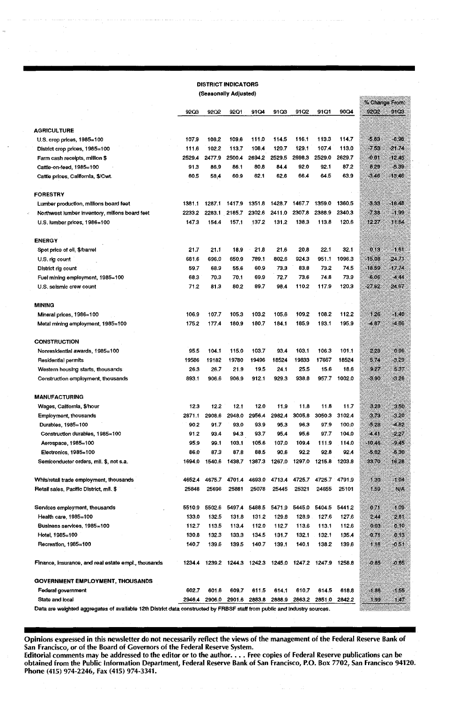#### DISTRICT INDICATORS (Seasonally Adjusted)

|                                                                                                                           | (Ocasunany Aujusteu) |        |        |        |                             |        |        |        |                        |          |
|---------------------------------------------------------------------------------------------------------------------------|----------------------|--------|--------|--------|-----------------------------|--------|--------|--------|------------------------|----------|
|                                                                                                                           | 92Q3                 | 92Q2   | 92Q1   | 91Q4   | 91Q3                        | 91Q2   | 91Q1   | 90Q4   | % Change From:<br>9202 | 91Q3     |
|                                                                                                                           |                      |        |        |        |                             |        |        |        |                        |          |
| <b>AGRICULTURE</b>                                                                                                        |                      |        |        |        |                             |        |        |        |                        |          |
| U.S. crop prices, 1985=100                                                                                                | 107.9                | 108.2  | 109.6  | 111.0  | 114.5                       | 116.1  | 113.3  | 114.7  | $-5.83$                | $-6,98$  |
| District crop prices, 1985=100                                                                                            | 111.6                | 102.2  | 113.7  | 108.4  | 120.7                       | 129.1  | 107.4  | 113.0  | $-7.53$                | $-21.74$ |
| Farm cash receipts, million \$                                                                                            | 2529.4               | 2477.9 | 2500.4 | 2694.2 | 2529.5                      | 2698,3 | 2529.0 | 2629.7 | $-0.01$                | $-12.45$ |
| Cattle-on-feed, 1985=100                                                                                                  | 91.3                 | 86.9   | 86.1   | 80,8   | 84.4                        | 92.0   | 92.1   | 87.2   | 8.29                   | $-5.39$  |
| Cattle prices, California, \$/Cwt.                                                                                        | 60.5                 | 58.4   | 60.9   | 62.1   | 62.6                        | 66.4   | 64.5   | 63.9   | $-3.46$                | $-13,46$ |
| <b>FORESTRY</b>                                                                                                           |                      |        |        |        |                             |        |        |        |                        |          |
| Lumber production, millions board feet                                                                                    | 1381.1               | 1287.1 | 1417.9 | 1351.8 | 1428.7                      | 1467.7 | 1359.0 | 1360.5 | $-3.33$                | $-18.48$ |
| Northwest lumber inventory, millons board feet                                                                            | 2233.2               | 2283.1 | 2185.7 | 2302.6 | 2411.0                      | 2307,8 | 2388.9 | 2340.3 | -7,38                  | $-1.99$  |
| U.S. lumber prices, 1986=100                                                                                              | 1473                 | 1544   | 157.1  | 137.2  | 131.2                       | 138.3  | 113.8  | 120.6  | 1227                   | 11.64    |
| <b>ENERGY</b>                                                                                                             |                      |        |        |        |                             |        |        |        |                        |          |
| Spot price of oil, \$/barrel                                                                                              | 21.7                 | 21.1   | 18.9   | 21.8   | 21.6                        | 20.8   | 22.1   | 32.1   | 013                    | 1.61     |
| U.S. rig count                                                                                                            | 681.6                | 696.0  | 650.9  | 789.1  | 802.6                       | 924.3  | 951.1  | 1096.3 | -15.08                 | -24.71   |
| District rig count                                                                                                        | 59.7                 | 68.9   | 55.6   | 60.9   | 73.3                        | 83.8   | 73.2   | 74.5   | $-18.59$               | $-17.74$ |
| Fuel mining employment, 1985=100                                                                                          | 68.3                 | 70.3   | 70.1   | 69.9   | 72.7                        | 73.6   | 74.8   | 73.9   | -6.06                  | $-4.44$  |
| U.S. seismic crew count                                                                                                   | 712                  | 81.3   | 80.2   | 89.7   | 98.4                        | 110.2  | 117.9  | 120.3  | $-27.62$               | 24.67    |
| <b>MINING</b>                                                                                                             |                      |        |        |        |                             |        |        |        |                        |          |
| Mineral prices, 1986=100                                                                                                  | 106.9                | 107.7  | 105.3  | 103.2  | 105.6                       | 109.2  | 108.2  | 112.2  | 1.26                   | $-1.40$  |
| Metal mining employment, 1985=100                                                                                         | 175.2                | 177.4  | 180.9  | 180.7  | 184.1                       | 185.9  | 193.1  | 195.9  | 4.67                   | $-4,86$  |
|                                                                                                                           |                      |        |        |        |                             |        |        |        |                        |          |
| <b>CONSTRUCTION</b>                                                                                                       |                      |        |        |        |                             |        |        |        |                        |          |
| Nonresidential awards, 1985=100                                                                                           | 95.5                 | 104.1  | 115.0  | 103.7  | 93.4                        | 103.1  | 106.3  | 101.1  | 2.28                   | 0.96     |
| Residential permits                                                                                                       | 19586                | 19182  | 19780  | 19496  | 18524                       | 19833  | 17667  | 18524  | 5.74                   | 3,29     |
| Western housing starts, thousands                                                                                         | 26.3                 | 26.7   | 21.9   | 19.5   | 24.1                        | 25.5   | 15.6   | 18.6   | 9.27                   | 5.37     |
| Construction employment, thousands                                                                                        | 893.1                | 906.6  | 906.9  | 912.1  | 929.3                       | 938.8  | 957.7  | 1002.0 | $-3.90$                | $-3.26$  |
| <b>MANUFACTURING</b>                                                                                                      |                      |        |        |        |                             |        |        |        |                        |          |
| Wages, California, \$/hour                                                                                                | 12.3                 | 12.2   | 12.1   | 12.0   | 11.9                        | 11.8   | 11.8   | 11.7   | 3.28                   | 3.50     |
| <b>Employment, thousands</b>                                                                                              | 2871.1               | 2908.6 | 2948.0 | 2956.4 | 2982.4                      | 3005.8 | 3050.3 | 3102.4 | $-3.73$                | $-3.20$  |
| Durables, 1985=100                                                                                                        | 90.2                 | 91.7   | 93.0   | 93.9   | 95.3                        | 96.3   | 97.9   | 100.0  | $-5.28$                | $-4.82$  |
| Construction durables, 1985=100                                                                                           | 91.2                 | 93.4   | 94.3   | 93.7   | 95.4                        | 95.6   | 97.7   | 104.0  | $-4.41$                | $-2.27$  |
| Aerospace, 1985=100                                                                                                       | 95,9                 | 99.1   | 103.1  | 105.6  | 107.0                       | 109.4  | 111.9  | 114.0  | $-10,46$               | $-9.45$  |
| Electronics, 1985=100                                                                                                     | 86.0                 | 87.3   | 87.8   | 88.5   | 90.6                        | 92.2   | 92.8   | 92.4   | $-5.02$                | -5,30    |
| Semiconductor orders, mil. \$, not s.a.                                                                                   | 1694.0               | 1540.6 | 1438.7 | 1387.3 | 1267.0                      | 1297.0 | 1215.8 | 1203.8 | 33.70                  | 16.28    |
| Whis/retail trade employment, thousands                                                                                   | 4652.4               | 4675.7 | 4701.4 | 4693.0 | 4713.4                      | 4725.7 | 4725.7 | 4791.9 | 1.30                   | -104     |
| Retail sales, Pacific District, mil. \$                                                                                   | 25848                | 25696  | 25881  | 25078  | 25445                       | 25321  | 24655  | 25101  | 1.59                   | NA.      |
| Services employment, thousands                                                                                            | 5510.9               | 5502.6 | 5497.4 | 5488.5 | 5471.9                      | 5445.0 | 5404.5 | 5441.2 | 071                    | 1.09     |
| Health care, 1985=100                                                                                                     | 133.0                | 132.5  | 131.8  | 131.2  | 129.8                       | 128.9  | 127.6  | 1276   | 2,44                   | 2.81     |
| Business services, 1985=100                                                                                               | 112.7                | 113.5  | 113.4  | 112.0  | 112.7                       | 113.6  | 113.1  | 112.6  | 0,03                   | 0.10     |
| Hotel. 1985=100                                                                                                           | 130.8                | 132.3  | 133.3  | 134.5  | 131.7                       | 132.1  | 132.1  | 135.4  | 0.71                   | 0, 13    |
| Recreation, 1985=100                                                                                                      | 140.7                | 139.6  | 139.5  | 140.7  | 139.1                       | 140.1  | 138.2  | 139.6  | 116                    | $-0.51$  |
| Finance, insurance, and real estate empl., thousands                                                                      | 1234.4               | 1239.2 | 1244.3 |        | 1242.3 1245.0 1247.2 1247.9 |        |        | 1258.8 | $-0.85$                | $-0.65$  |
| <b>GOVERNMENT EMPLOYMENT, THOUSANDS</b>                                                                                   |                      |        |        |        |                             |        |        |        |                        |          |
| Federal government                                                                                                        | 602.7                | 601.6  | 609.7  | 611.5  | 614.1                       | 610.7  | 614.5  | 618.8  | $-1.86$                | $-1.55$  |
| State and local                                                                                                           | 2946.4               | 2906.0 | 2901.6 | 2883.8 | 2888.9                      | 2863.2 | 2851.0 | 2842.2 | 1.99                   | 147      |
| Data are weighted accreagates of qualiship 19th District data constructed by ERRSE staff from public and industry courses |                      |        |        |        |                             |        |        |        |                        |          |

Data are weighted aggregates of available 12th District data constructed by FRBSF staff from public and industry sources.

Opinions expressed in this newsletter do not necessarily reflect the views of the management of the Federal Reserve Bank of San Francisco, or of the Board of Governors of the Federal Reserve System.

san Francisco, or or the Board or Governors or the Federal Reserve system.<br>Editorial comments may be addressed to the editor or to the author. . . . Free copies of Federal Reserve publications can be<br>obtained from the Publ Phone (415) 974-2246, Fax (415) 974-3341.